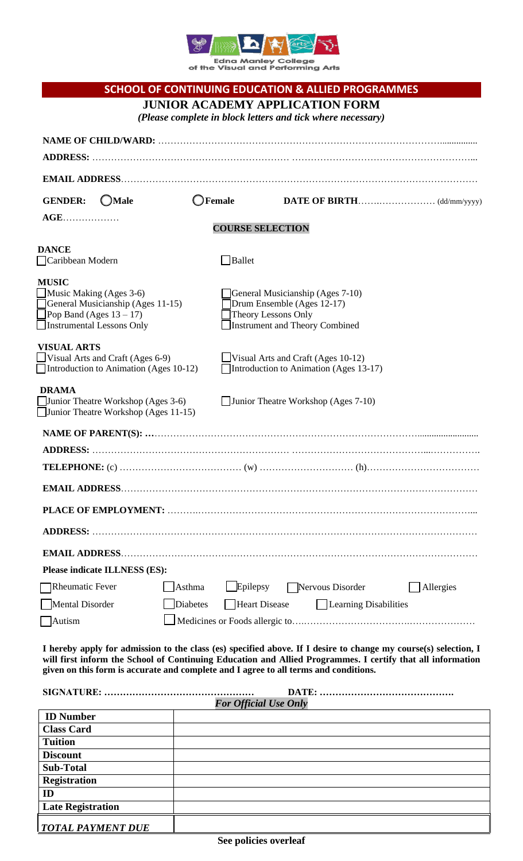

Edna Manley College<br>of the Visual and Performing Arts

|                                                                                            |                        | <b>SCHOOL OF CONTINUING EDUCATION &amp; ALLIED PROGRAMMES</b>                                                                                                                                                                 |           |  |
|--------------------------------------------------------------------------------------------|------------------------|-------------------------------------------------------------------------------------------------------------------------------------------------------------------------------------------------------------------------------|-----------|--|
|                                                                                            |                        | <b>JUNIOR ACADEMY APPLICATION FORM</b>                                                                                                                                                                                        |           |  |
|                                                                                            |                        | (Please complete in block letters and tick where necessary)                                                                                                                                                                   |           |  |
|                                                                                            |                        |                                                                                                                                                                                                                               |           |  |
|                                                                                            |                        |                                                                                                                                                                                                                               |           |  |
|                                                                                            |                        |                                                                                                                                                                                                                               |           |  |
| <b>GENDER:</b><br>$\bigcirc$ Male                                                          | <b>JFemale</b>         |                                                                                                                                                                                                                               |           |  |
| <b>AGE</b><br><b>COURSE SELECTION</b>                                                      |                        |                                                                                                                                                                                                                               |           |  |
| <b>DANCE</b>                                                                               |                        |                                                                                                                                                                                                                               |           |  |
| Caribbean Modern                                                                           | Ballet                 |                                                                                                                                                                                                                               |           |  |
| <b>MUSIC</b>                                                                               |                        |                                                                                                                                                                                                                               |           |  |
| $\Box$ Music Making (Ages 3-6)<br>General Musicianship (Ages 7-10)                         |                        |                                                                                                                                                                                                                               |           |  |
| General Musicianship (Ages 11-15)<br>Pop Band (Ages $13 - 17$ )                            |                        | Drum Ensemble (Ages 12-17)<br>Theory Lessons Only                                                                                                                                                                             |           |  |
| Instrumental Lessons Only                                                                  |                        | <b>Instrument and Theory Combined</b>                                                                                                                                                                                         |           |  |
| <b>VISUAL ARTS</b>                                                                         |                        |                                                                                                                                                                                                                               |           |  |
| Visual Arts and Craft (Ages $6-9$ )                                                        |                        | Visual Arts and Craft (Ages $10-12$ )                                                                                                                                                                                         |           |  |
| Introduction to Animation (Ages 10-12)                                                     |                        | Introduction to Animation (Ages 13-17)                                                                                                                                                                                        |           |  |
| <b>DRAMA</b><br>Junior Theatre Workshop (Ages 3-6)<br>Junior Theatre Workshop (Ages 11-15) |                        | $\Box$ Junior Theatre Workshop (Ages 7-10)                                                                                                                                                                                    |           |  |
|                                                                                            |                        |                                                                                                                                                                                                                               |           |  |
| <b>ADDRESS:</b>                                                                            |                        |                                                                                                                                                                                                                               |           |  |
|                                                                                            |                        |                                                                                                                                                                                                                               |           |  |
|                                                                                            |                        |                                                                                                                                                                                                                               |           |  |
|                                                                                            |                        |                                                                                                                                                                                                                               |           |  |
|                                                                                            |                        |                                                                                                                                                                                                                               |           |  |
|                                                                                            |                        |                                                                                                                                                                                                                               |           |  |
| <b>Please indicate ILLNESS (ES):</b>                                                       |                        |                                                                                                                                                                                                                               |           |  |
| Rheumatic Fever                                                                            | $L$ Epilepsy<br>Asthma | Nervous Disorder                                                                                                                                                                                                              | Allergies |  |
| Mental Disorder                                                                            | Diabetes               | <b>Heart Disease</b><br>  Learning Disabilities                                                                                                                                                                               |           |  |
| Autism                                                                                     |                        |                                                                                                                                                                                                                               |           |  |
|                                                                                            |                        |                                                                                                                                                                                                                               |           |  |
| given on this form is accurate and complete and I agree to all terms and conditions.       |                        | I hereby apply for admission to the class (es) specified above. If I desire to change my course(s) selection, I<br>will first inform the School of Continuing Education and Allied Programmes. I certify that all information |           |  |
| <b>For Official Use Only</b>                                                               |                        |                                                                                                                                                                                                                               |           |  |
| <b>ID Number</b>                                                                           |                        |                                                                                                                                                                                                                               |           |  |
| <b>Class Card</b>                                                                          |                        |                                                                                                                                                                                                                               |           |  |

**Tuition Discount Sub-Total Registration**

**Late Registration**

*TOTAL PAYMENT DUE*

**ID**